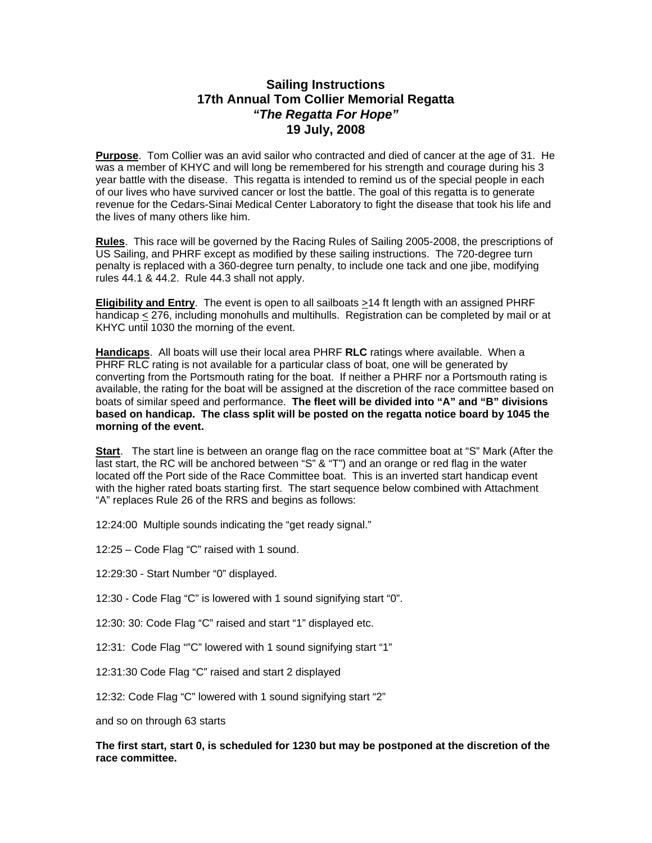### **Sailing Instructions 17th Annual Tom Collier Memorial Regatta**  *"The Regatta For Hope"*  **19 July, 2008**

**Purpose**. Tom Collier was an avid sailor who contracted and died of cancer at the age of 31. He was a member of KHYC and will long be remembered for his strength and courage during his 3 year battle with the disease. This regatta is intended to remind us of the special people in each of our lives who have survived cancer or lost the battle. The goal of this regatta is to generate revenue for the Cedars-Sinai Medical Center Laboratory to fight the disease that took his life and the lives of many others like him.

**Rules**. This race will be governed by the Racing Rules of Sailing 2005-2008, the prescriptions of US Sailing, and PHRF except as modified by these sailing instructions. The 720-degree turn penalty is replaced with a 360-degree turn penalty, to include one tack and one jibe, modifying rules 44.1 & 44.2. Rule 44.3 shall not apply.

**Eligibility and Entry**. The event is open to all sailboats >14 ft length with an assigned PHRF handicap < 276, including monohulls and multihulls. Registration can be completed by mail or at KHYC until 1030 the morning of the event.

**Handicaps**. All boats will use their local area PHRF **RLC** ratings where available. When a PHRF RLC rating is not available for a particular class of boat, one will be generated by converting from the Portsmouth rating for the boat. If neither a PHRF nor a Portsmouth rating is available, the rating for the boat will be assigned at the discretion of the race committee based on boats of similar speed and performance. **The fleet will be divided into "A" and "B" divisions based on handicap. The class split will be posted on the regatta notice board by 1045 the morning of the event.** 

**Start**. The start line is between an orange flag on the race committee boat at "S" Mark (After the last start, the RC will be anchored between "S" & "T") and an orange or red flag in the water located off the Port side of the Race Committee boat. This is an inverted start handicap event with the higher rated boats starting first. The start sequence below combined with Attachment "A" replaces Rule 26 of the RRS and begins as follows:

12:24:00 Multiple sounds indicating the "get ready signal."

12:25 – Code Flag "C" raised with 1 sound.

12:29:30 - Start Number "0" displayed.

12:30 - Code Flag "C" is lowered with 1 sound signifying start "0".

12:30: 30: Code Flag "C" raised and start "1" displayed etc.

12:31: Code Flag ""C" lowered with 1 sound signifying start "1"

12:31:30 Code Flag "C" raised and start 2 displayed

12:32: Code Flag "C" lowered with 1 sound signifying start "2"

and so on through 63 starts

#### **The first start, start 0, is scheduled for 1230 but may be postponed at the discretion of the race committee.**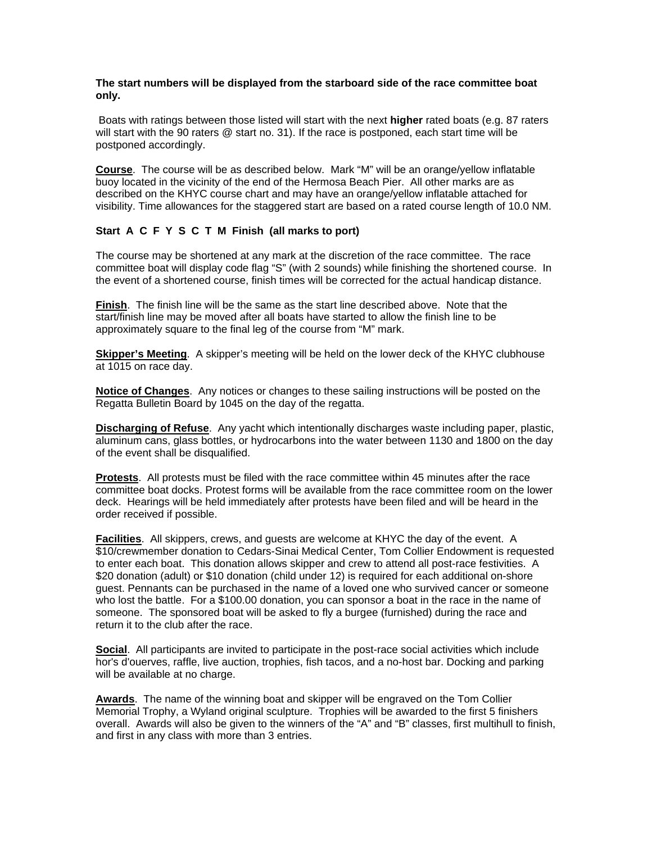#### **The start numbers will be displayed from the starboard side of the race committee boat only.**

 Boats with ratings between those listed will start with the next **higher** rated boats (e.g. 87 raters will start with the 90 raters @ start no. 31). If the race is postponed, each start time will be postponed accordingly.

**Course**. The course will be as described below. Mark "M" will be an orange/yellow inflatable buoy located in the vicinity of the end of the Hermosa Beach Pier. All other marks are as described on the KHYC course chart and may have an orange/yellow inflatable attached for visibility. Time allowances for the staggered start are based on a rated course length of 10.0 NM.

#### **Start A C F Y S C T M Finish (all marks to port)**

The course may be shortened at any mark at the discretion of the race committee. The race committee boat will display code flag "S" (with 2 sounds) while finishing the shortened course. In the event of a shortened course, finish times will be corrected for the actual handicap distance.

**Finish**. The finish line will be the same as the start line described above. Note that the start/finish line may be moved after all boats have started to allow the finish line to be approximately square to the final leg of the course from "M" mark.

**Skipper's Meeting**. A skipper's meeting will be held on the lower deck of the KHYC clubhouse at 1015 on race day.

**Notice of Changes**. Any notices or changes to these sailing instructions will be posted on the Regatta Bulletin Board by 1045 on the day of the regatta.

**Discharging of Refuse**. Any yacht which intentionally discharges waste including paper, plastic, aluminum cans, glass bottles, or hydrocarbons into the water between 1130 and 1800 on the day of the event shall be disqualified.

**Protests**. All protests must be filed with the race committee within 45 minutes after the race committee boat docks. Protest forms will be available from the race committee room on the lower deck. Hearings will be held immediately after protests have been filed and will be heard in the order received if possible.

**Facilities**. All skippers, crews, and guests are welcome at KHYC the day of the event. A \$10/crewmember donation to Cedars-Sinai Medical Center, Tom Collier Endowment is requested to enter each boat. This donation allows skipper and crew to attend all post-race festivities. A \$20 donation (adult) or \$10 donation (child under 12) is required for each additional on-shore guest. Pennants can be purchased in the name of a loved one who survived cancer or someone who lost the battle. For a \$100.00 donation, you can sponsor a boat in the race in the name of someone. The sponsored boat will be asked to fly a burgee (furnished) during the race and return it to the club after the race.

**Social**. All participants are invited to participate in the post-race social activities which include hor's d'ouerves, raffle, live auction, trophies, fish tacos, and a no-host bar. Docking and parking will be available at no charge.

**Awards**. The name of the winning boat and skipper will be engraved on the Tom Collier Memorial Trophy, a Wyland original sculpture. Trophies will be awarded to the first 5 finishers overall. Awards will also be given to the winners of the "A" and "B" classes, first multihull to finish, and first in any class with more than 3 entries.